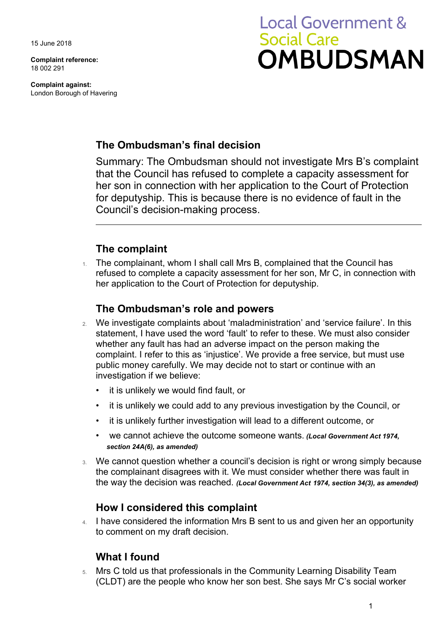15 June 2018

**Complaint reference:**  18 002 291

**Complaint against:**  London Borough of Havering

# **Local Government & Social Care** OMBUDSMAN

### **The Ombudsman's final decision**

 that the Council has refused to complete a capacity assessment for her son in connection with her application to the Court of Protection Summary: The Ombudsman should not investigate Mrs B's complaint for deputyship. This is because there is no evidence of fault in the Council's decision-making process.

### **The complaint**

1. The complainant, whom I shall call Mrs B, complained that the Council has refused to complete a capacity assessment for her son, Mr C, in connection with her application to the Court of Protection for deputyship.

#### **The Ombudsman's role and powers**

- 2. We investigate complaints about 'maladministration' and 'service failure'. In this statement, I have used the word 'fault' to refer to these. We must also consider whether any fault has had an adverse impact on the person making the complaint. I refer to this as 'injustice'. We provide a free service, but must use public money carefully. We may decide not to start or continue with an investigation if we believe:
	- it is unlikely we would find fault, or
	- it is unlikely we could add to any previous investigation by the Council, or
	- it is unlikely further investigation will lead to a different outcome, or
	- we cannot achieve the outcome someone wants. *(Local Government Act 1974, section 24A(6), as amended)*
- We cannot question whether a council's decision is right or wrong simply because the complainant disagrees with it. We must consider whether there was fault in the way the decision was reached. *(Local Government Act 1974, section 34(3), as amended)*

#### **How I considered this complaint**

4. I have considered the information Mrs B sent to us and given her an opportunity to comment on my draft decision.

#### **What I found**

 (CLDT) are the people who know her son best. She says Mr C's social worker 5. Mrs C told us that professionals in the Community Learning Disability Team